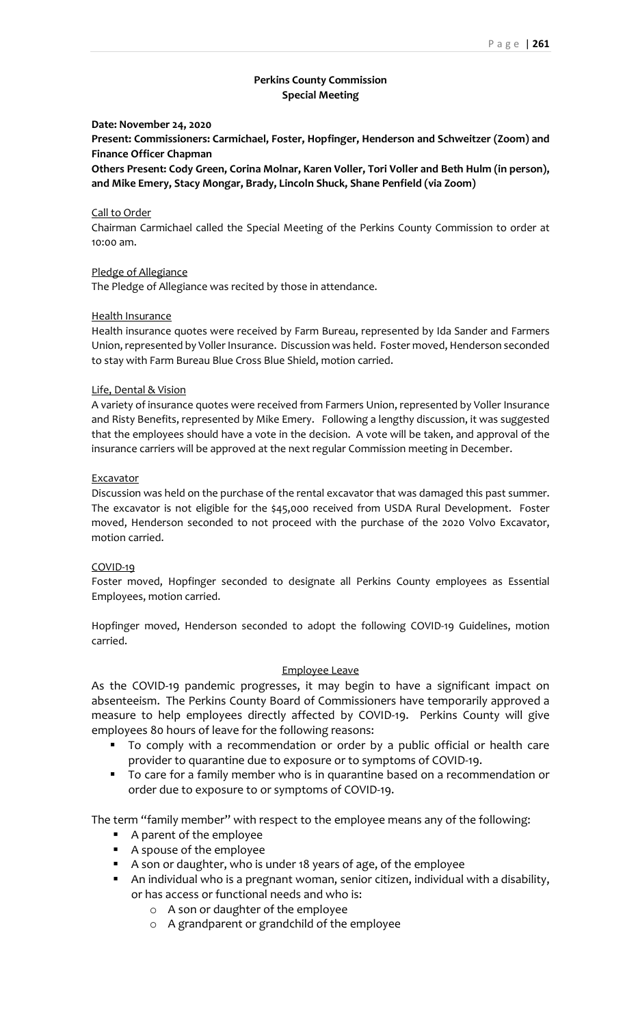## **Perkins County Commission Special Meeting**

## **Date: November 24, 2020**

**Present: Commissioners: Carmichael, Foster, Hopfinger, Henderson and Schweitzer (Zoom) and Finance Officer Chapman**

**Others Present: Cody Green, Corina Molnar, Karen Voller, Tori Voller and Beth Hulm (in person), and Mike Emery, Stacy Mongar, Brady, Lincoln Shuck, Shane Penfield (via Zoom)**

### Call to Order

Chairman Carmichael called the Special Meeting of the Perkins County Commission to order at 10:00 am.

#### Pledge of Allegiance

The Pledge of Allegiance was recited by those in attendance.

### Health Insurance

Health insurance quotes were received by Farm Bureau, represented by Ida Sander and Farmers Union, represented by Voller Insurance. Discussion was held. Foster moved, Henderson seconded to stay with Farm Bureau Blue Cross Blue Shield, motion carried.

### Life, Dental & Vision

A variety of insurance quotes were received from Farmers Union, represented by Voller Insurance and Risty Benefits, represented by Mike Emery. Following a lengthy discussion, it was suggested that the employees should have a vote in the decision. A vote will be taken, and approval of the insurance carriers will be approved at the next regular Commission meeting in December.

#### **Excavator**

Discussion was held on the purchase of the rental excavator that was damaged this past summer. The excavator is not eligible for the \$45,000 received from USDA Rural Development. Foster moved, Henderson seconded to not proceed with the purchase of the 2020 Volvo Excavator, motion carried.

#### COVID-19

Foster moved, Hopfinger seconded to designate all Perkins County employees as Essential Employees, motion carried.

Hopfinger moved, Henderson seconded to adopt the following COVID-19 Guidelines, motion carried.

### Employee Leave

As the COVID-19 pandemic progresses, it may begin to have a significant impact on absenteeism. The Perkins County Board of Commissioners have temporarily approved a measure to help employees directly affected by COVID-19. Perkins County will give employees 80 hours of leave for the following reasons:

- To comply with a recommendation or order by a public official or health care provider to quarantine due to exposure or to symptoms of COVID-19.
- To care for a family member who is in quarantine based on a recommendation or order due to exposure to or symptoms of COVID-19.

The term "family member" with respect to the employee means any of the following:

- A parent of the employee
- A spouse of the employee
- A son or daughter, who is under 18 years of age, of the employee
- An individual who is a pregnant woman, senior citizen, individual with a disability, or has access or functional needs and who is:
	- o A son or daughter of the employee
	- o A grandparent or grandchild of the employee